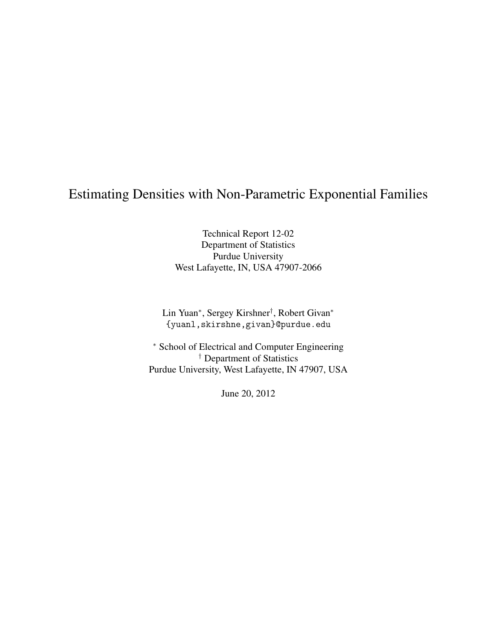# Estimating Densities with Non-Parametric Exponential Families

Technical Report 12-02 Department of Statistics Purdue University West Lafayette, IN, USA 47907-2066

Lin Yuan<sup>∗</sup> , Sergey Kirshner† , Robert Givan<sup>∗</sup> {yuanl,skirshne,givan}@purdue.edu

<sup>∗</sup> School of Electrical and Computer Engineering † Department of Statistics Purdue University, West Lafayette, IN 47907, USA

June 20, 2012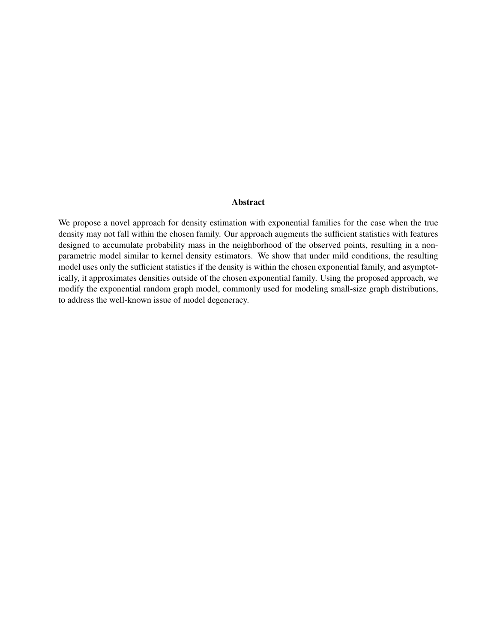### Abstract

We propose a novel approach for density estimation with exponential families for the case when the true density may not fall within the chosen family. Our approach augments the sufficient statistics with features designed to accumulate probability mass in the neighborhood of the observed points, resulting in a nonparametric model similar to kernel density estimators. We show that under mild conditions, the resulting model uses only the sufficient statistics if the density is within the chosen exponential family, and asymptotically, it approximates densities outside of the chosen exponential family. Using the proposed approach, we modify the exponential random graph model, commonly used for modeling small-size graph distributions, to address the well-known issue of model degeneracy.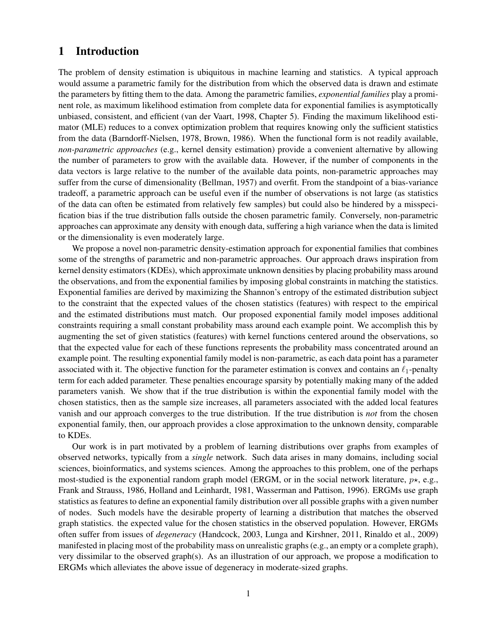# 1 Introduction

The problem of density estimation is ubiquitous in machine learning and statistics. A typical approach would assume a parametric family for the distribution from which the observed data is drawn and estimate the parameters by fitting them to the data. Among the parametric families, *exponential families* play a prominent role, as maximum likelihood estimation from complete data for exponential families is asymptotically unbiased, consistent, and efficient [\(van der Vaart, 1998,](#page-16-0) Chapter 5). Finding the maximum likelihood estimator (MLE) reduces to a convex optimization problem that requires knowing only the sufficient statistics from the data [\(Barndorff-Nielsen, 1978, Brown, 1986\)](#page-15-0). When the functional form is not readily available, *non-parametric approaches* (e.g., kernel density estimation) provide a convenient alternative by allowing the number of parameters to grow with the available data. However, if the number of components in the data vectors is large relative to the number of the available data points, non-parametric approaches may suffer from the curse of dimensionality [\(Bellman, 1957\)](#page-15-0) and overfit. From the standpoint of a bias-variance tradeoff, a parametric approach can be useful even if the number of observations is not large (as statistics of the data can often be estimated from relatively few samples) but could also be hindered by a misspecification bias if the true distribution falls outside the chosen parametric family. Conversely, non-parametric approaches can approximate any density with enough data, suffering a high variance when the data is limited or the dimensionality is even moderately large.

We propose a novel non-parametric density-estimation approach for exponential families that combines some of the strengths of parametric and non-parametric approaches. Our approach draws inspiration from kernel density estimators (KDEs), which approximate unknown densities by placing probability mass around the observations, and from the exponential families by imposing global constraints in matching the statistics. Exponential families are derived by maximizing the Shannon's entropy of the estimated distribution subject to the constraint that the expected values of the chosen statistics (features) with respect to the empirical and the estimated distributions must match. Our proposed exponential family model imposes additional constraints requiring a small constant probability mass around each example point. We accomplish this by augmenting the set of given statistics (features) with kernel functions centered around the observations, so that the expected value for each of these functions represents the probability mass concentrated around an example point. The resulting exponential family model is non-parametric, as each data point has a parameter associated with it. The objective function for the parameter estimation is convex and contains an  $\ell_1$ -penalty term for each added parameter. These penalties encourage sparsity by potentially making many of the added parameters vanish. We show that if the true distribution is within the exponential family model with the chosen statistics, then as the sample size increases, all parameters associated with the added local features vanish and our approach converges to the true distribution. If the true distribution is *not* from the chosen exponential family, then, our approach provides a close approximation to the unknown density, comparable to KDEs.

Our work is in part motivated by a problem of learning distributions over graphs from examples of observed networks, typically from a *single* network. Such data arises in many domains, including social sciences, bioinformatics, and systems sciences. Among the approaches to this problem, one of the perhaps most-studied is the exponential random graph model (ERGM, or in the social network literature,  $p\star$ , e.g., [Frank and Strauss, 1986, Holland and Leinhardt, 1981,](#page-15-0) [Wasserman and Pattison, 1996\)](#page-16-0). ERGMs use graph statistics as features to define an exponential family distribution over all possible graphs with a given number of nodes. Such models have the desirable property of learning a distribution that matches the observed graph statistics. the expected value for the chosen statistics in the observed population. However, ERGMs often suffer from issues of *degeneracy* [\(Handcock, 2003,](#page-15-0) [Lunga and Kirshner, 2011, Rinaldo et al., 2009\)](#page-16-0) manifested in placing most of the probability mass on unrealistic graphs (e.g., an empty or a complete graph), very dissimilar to the observed graph(s). As an illustration of our approach, we propose a modification to ERGMs which alleviates the above issue of degeneracy in moderate-sized graphs.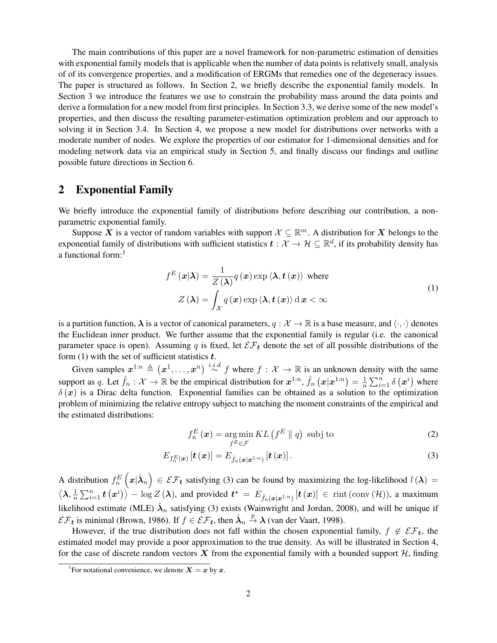<span id="page-3-0"></span>The main contributions of this paper are a novel framework for non-parametric estimation of densities with exponential family models that is applicable when the number of data points is relatively small, analysis of of its convergence properties, and a modification of ERGMs that remedies one of the degeneracy issues. The paper is structured as follows. In Section 2, we briefly describe the exponential family models. In Section [3](#page-4-0) we introduce the features we use to constrain the probability mass around the data points and derive a formulation for a new model from first principles. In Section [3.3,](#page-6-0) we derive some of the new model's properties, and then discuss the resulting parameter-estimation optimization problem and our approach to solving it in Section [3.4.](#page-7-0) In Section [4,](#page-8-0) we propose a new model for distributions over networks with a moderate number of nodes. We explore the properties of our estimator for 1-dimensional densities and for modeling network data via an empirical study in Section [5,](#page-10-0) and finally discuss our findings and outline possible future directions in Section [6.](#page-13-0)

# 2 Exponential Family

We briefly introduce the exponential family of distributions before describing our contribution, a nonparametric exponential family.

Suppose X is a vector of random variables with support  $\mathcal{X} \subseteq \mathbb{R}^m$ . A distribution for X belongs to the exponential family of distributions with sufficient statistics  $t:\mathcal{X}\to\mathcal{H}\subseteq\mathbb{R}^d,$  if its probability density has a functional form:<sup>1</sup>

$$
f^{E}(\mathbf{x}|\boldsymbol{\lambda}) = \frac{1}{Z(\boldsymbol{\lambda})} q(\mathbf{x}) \exp \langle \boldsymbol{\lambda}, \boldsymbol{t}(\mathbf{x}) \rangle \text{ where}
$$
  

$$
Z(\boldsymbol{\lambda}) = \int_{\mathcal{X}} q(\mathbf{x}) \exp \langle \boldsymbol{\lambda}, \boldsymbol{t}(\mathbf{x}) \rangle \, d \mathbf{x} < \infty
$$
 (1)

is a partition function,  $\lambda$  is a vector of canonical parameters,  $q : \mathcal{X} \to \mathbb{R}$  is a base measure, and  $\langle \cdot, \cdot \rangle$  denotes the Euclidean inner product. We further assume that the exponential family is regular (i.e. the canonical parameter space is open). Assuming q is fixed, let  $\mathcal{EF}_t$  denote the set of all possible distributions of the form  $(1)$  with the set of sufficient statistics  $t$ .

Given samples  $x^{1:n} \triangleq (x^1, \ldots, x^n) \stackrel{i.i.d}{\sim} f$  where  $f : \mathcal{X} \to \mathbb{R}$  is an unknown density with the same support as q. Let  $\hat{f}_n : \mathcal{X} \to \mathbb{R}$  be the empirical distribution for  $x^{1:n}$ ,  $\hat{f}_n(x|x^{1:n}) = \frac{1}{n}$  $\frac{1}{n} \sum_{i=1}^{n} \delta(\boldsymbol{x}^{i})$  where  $\delta(x)$  is a Dirac delta function. Exponential families can be obtained as a solution to the optimization problem of minimizing the relative entropy subject to matching the moment constraints of the empirical and the estimated distributions:

$$
f_n^E(\boldsymbol{x}) = \underset{f^E \in \mathcal{F}}{\arg \min KL} \left( f^E \parallel q \right) \text{ subj to}
$$
 (2)

$$
E_{f_n^E(\boldsymbol{x})}\left[\boldsymbol{t}\left(\boldsymbol{x}\right)\right] = E_{\hat{f}_n(\boldsymbol{x}|\boldsymbol{x}^{1:n})}\left[\boldsymbol{t}\left(\boldsymbol{x}\right)\right].\tag{3}
$$

A distribution  $f_n^E(x|\hat{\lambda}_n) \in \mathcal{EF}_t$  satisfying (3) can be found by maximizing the log-likelihood  $l(\lambda)$  =  $\langle \boldsymbol{\lambda}, \frac{1}{n}$  $\frac{1}{n}\sum_{i=1}^n \bm{t}\left(\bm{x}^i\right)\rangle - \log Z\left(\bm{\lambda}\right)$ , and provided  $\bm{t}^{\star} = E_{\hat{f}_n(\bm{x}|\bm{x}^{1:n})}\left[\bm{t}\left(\bm{x}\right)\right] \in \text{rint}\left(\text{conv}\left(\mathcal{H}\right)\right)$ , a maximum likelihood estimate (MLE)  $\hat{\lambda}_n$  satisfying (3) exists [\(Wainwright and Jordan, 2008\)](#page-16-0), and will be unique if  $\mathcal{EF}_t$  is minimal [\(Brown, 1986\)](#page-15-0). If  $f \in \mathcal{EF}_t$ , then  $\hat{\lambda}_n \stackrel{p}{\rightarrow} \lambda$  [\(van der Vaart, 1998\)](#page-16-0).

However, if the true distribution does not fall within the chosen exponential family,  $f \notin \mathcal{EF}_t$ , the estimated model may provide a poor approximation to the true density. As will be illustrated in Section [4,](#page-8-0) for the case of discrete random vectors  $X$  from the exponential family with a bounded support  $H$ , finding

<sup>&</sup>lt;sup>1</sup> For notational convenience, we denote  $X = x$  by x.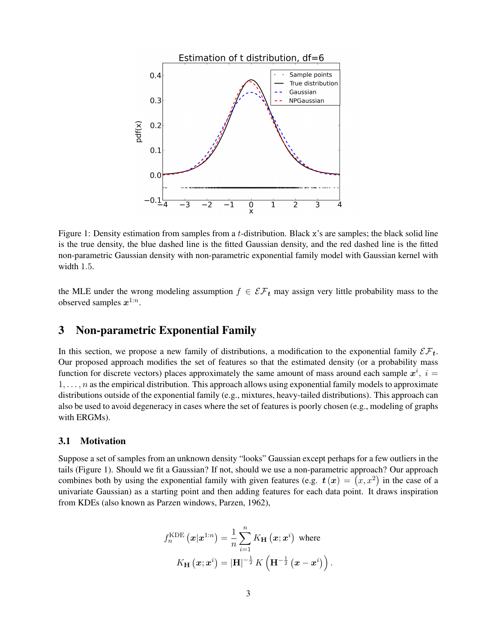<span id="page-4-0"></span>

Figure 1: Density estimation from samples from a t-distribution. Black x's are samples; the black solid line is the true density, the blue dashed line is the fitted Gaussian density, and the red dashed line is the fitted non-parametric Gaussian density with non-parametric exponential family model with Gaussian kernel with width 1.5.

the MLE under the wrong modeling assumption  $f \in \mathcal{EF}_t$  may assign very little probability mass to the observed samples  $x^{1:n}$ .

# 3 Non-parametric Exponential Family

In this section, we propose a new family of distributions, a modification to the exponential family  $\mathcal{EF}_t$ . Our proposed approach modifies the set of features so that the estimated density (or a probability mass function for discrete vectors) places approximately the same amount of mass around each sample  $x^i$ ,  $i =$  $1, \ldots, n$  as the empirical distribution. This approach allows using exponential family models to approximate distributions outside of the exponential family (e.g., mixtures, heavy-tailed distributions). This approach can also be used to avoid degeneracy in cases where the set of features is poorly chosen (e.g., modeling of graphs with ERGMs).

### 3.1 Motivation

Suppose a set of samples from an unknown density "looks" Gaussian except perhaps for a few outliers in the tails (Figure 1). Should we fit a Gaussian? If not, should we use a non-parametric approach? Our approach combines both by using the exponential family with given features (e.g.  $t(x) = (x, x^2)$  in the case of a univariate Gaussian) as a starting point and then adding features for each data point. It draws inspiration from KDEs (also known as Parzen windows, [Parzen, 1962\)](#page-16-0),

$$
f_n^{\text{KDE}}(\boldsymbol{x}|\boldsymbol{x}^{1:n}) = \frac{1}{n} \sum_{i=1}^n K_{\mathbf{H}}(\boldsymbol{x};\boldsymbol{x}^i) \text{ where}
$$

$$
K_{\mathbf{H}}(\boldsymbol{x};\boldsymbol{x}^i) = |\mathbf{H}|^{-\frac{1}{2}} K\left(\mathbf{H}^{-\frac{1}{2}}(\boldsymbol{x} - \boldsymbol{x}^i)\right).
$$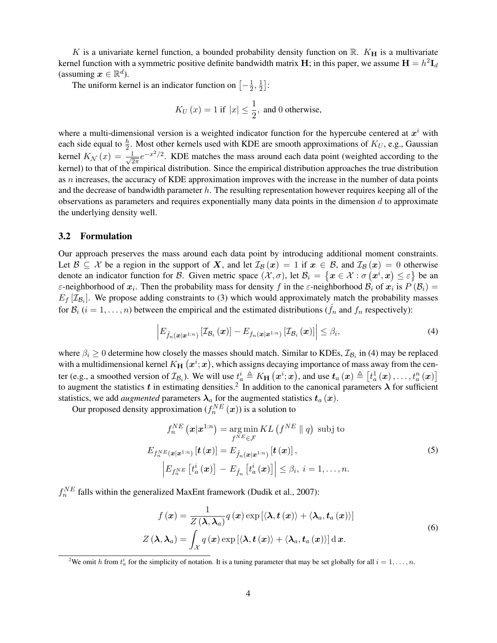<span id="page-5-0"></span>K is a univariate kernel function, a bounded probability density function on R.  $K_{\rm H}$  is a multivariate kernel function with a symmetric positive definite bandwidth matrix  ${\bf H};$  in this paper, we assume  ${\bf H}=h^2{\bf I}_d$ (assuming  $\boldsymbol{x} \in \mathbb{R}^d$ ).

The uniform kernel is an indicator function on  $\left[-\frac{1}{2}\right]$  $\frac{1}{2}, \frac{1}{2}$  $\frac{1}{2}$ :

$$
K_U(x) = 1 \text{ if } |x| \leq \frac{1}{2}, \text{ and } 0 \text{ otherwise,}
$$

where a multi-dimensional version is a weighted indicator function for the hypercube centered at  $x^i$  with each side equal to  $\frac{h}{2}$ . Most other kernels used with KDE are smooth approximations of  $K_U$ , e.g., Gaussian kernel  $K_N(x) = \frac{1}{\sqrt{2}}$  $\frac{1}{2\pi}e^{-x^2/2}$ . KDE matches the mass around each data point (weighted according to the kernel) to that of the empirical distribution. Since the empirical distribution approaches the true distribution as  $n$  increases, the accuracy of KDE approximation improves with the increase in the number of data points and the decrease of bandwidth parameter  $h$ . The resulting representation however requires keeping all of the observations as parameters and requires exponentially many data points in the dimension  $d$  to approximate the underlying density well.

### 3.2 Formulation

Our approach preserves the mass around each data point by introducing additional moment constraints. Let  $\mathcal{B} \subseteq \mathcal{X}$  be a region in the support of X, and let  $\mathcal{I}_{\mathcal{B}}(x) = 1$  if  $x \in \mathcal{B}$ , and  $\mathcal{I}_{\mathcal{B}}(x) = 0$  otherwise denote an indicator function for B. Given metric space  $(\mathcal{X}, \sigma)$ , let  $\mathcal{B}_i = \{x \in \mathcal{X} : \sigma(x^i, x) \leq \varepsilon\}$  be an  $\varepsilon$ -neighborhood of  $x_i$ . Then the probability mass for density f in the  $\varepsilon$ -neighborhood  $B_i$  of  $x_i$  is  $P(B_i)$  =  $E_f$  [ $\mathcal{I}_{\mathcal{B}_i}$ ]. We propose adding constraints to [\(3\)](#page-3-0) which would approximately match the probability masses for  $\mathcal{B}_i$  (i = 1, ..., n) between the empirical and the estimated distributions ( $\hat{f}_n$  and  $f_n$  respectively):

$$
\left| E_{\hat{f}_n(\boldsymbol{x}|\boldsymbol{x}^{1:n})} \left[ \mathcal{I}_{\mathcal{B}_i}(\boldsymbol{x}) \right] - E_{f_n(\boldsymbol{x}|\boldsymbol{x}^{1:n})} \left[ \mathcal{I}_{\mathcal{B}_i}(\boldsymbol{x}) \right] \right| \leq \beta_i,
$$
\n(4)

where  $\beta_i \geq 0$  determine how closely the masses should match. Similar to KDEs,  $\mathcal{I}_{\mathcal{B}_i}$  in (4) may be replaced with a multidimensional kernel  $K_{\mathbf{H}}\left(\boldsymbol{x}^{i};\boldsymbol{x}\right)$ , which assigns decaying importance of mass away from the center (e.g., a smoothed version of  $\mathcal{I}_{\mathcal{B}_i}$ ). We will use  $t_a^i \triangleq K_H(\boldsymbol{x}^i;\boldsymbol{x})$ , and use  $\boldsymbol{t}_a(\boldsymbol{x}) \triangleq \left[t_a^1(\boldsymbol{x}), \ldots, t_a^n(\boldsymbol{x})\right]$ to augment the statistics  $t$  in estimating densities.<sup>2</sup> In addition to the canonical parameters  $\lambda$  for sufficient statistics, we add *augmented* parameters  $\lambda_a$  for the augmented statistics  $t_a(x)$ .

Our proposed density approximation  $(f_n^{NE}(\boldsymbol{x}))$  is a solution to

$$
f_n^{NE}(\boldsymbol{x}|\boldsymbol{x}^{1:n}) = \underset{f^{NE} \in \mathcal{F}}{\arg \min} KL(f^{NE} \parallel q) \text{ subj to}
$$
  

$$
E_{f_n^{NE}(\boldsymbol{x}|\boldsymbol{x}^{1:n})}[\boldsymbol{t}(\boldsymbol{x})] = E_{\hat{f}_n(\boldsymbol{x}|\boldsymbol{x}^{1:n})}[\boldsymbol{t}(\boldsymbol{x})],
$$
  

$$
\left| E_{f_n^{NE}}\left[t_a^i(\boldsymbol{x})\right] - E_{\hat{f}_n}\left[t_a^i(\boldsymbol{x})\right] \right| \leq \beta_i, \ i = 1, ..., n.
$$
 (5)

 $f_n^{NE}$  falls within the generalized MaxEnt framework [\(Dudik et al., 2007\)](#page-15-0):

$$
f(\mathbf{x}) = \frac{1}{Z(\lambda, \lambda_a)} q(\mathbf{x}) \exp\left[ \langle \lambda, t(\mathbf{x}) \rangle + \langle \lambda_a, t_a(\mathbf{x}) \rangle \right]
$$
  

$$
Z(\lambda, \lambda_a) = \int_{\mathcal{X}} q(\mathbf{x}) \exp\left[ \langle \lambda, t(\mathbf{x}) \rangle + \langle \lambda_a, t_a(\mathbf{x}) \rangle \right] d\mathbf{x}.
$$
 (6)

<sup>2</sup>We omit h from  $t_a^i$  for the simplicity of notation. It is a tuning parameter that may be set globally for all  $i = 1, ..., n$ .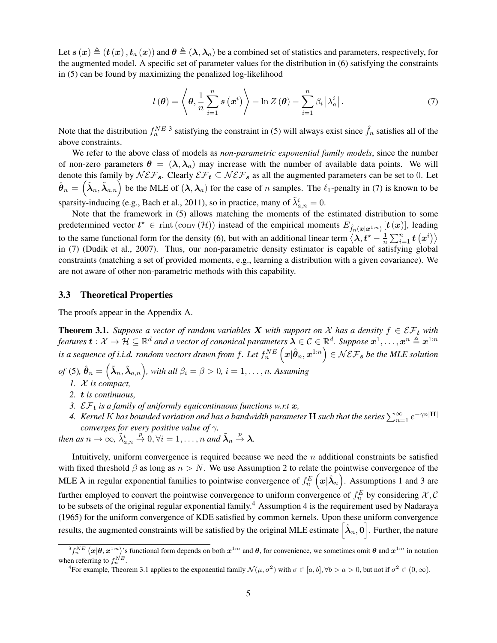<span id="page-6-0"></span>Let  $s(x) \triangleq (t(x), t_a(x))$  and  $\theta \triangleq (\lambda, \lambda_a)$  be a combined set of statistics and parameters, respectively, for the augmented model. A specific set of parameter values for the distribution in [\(6\)](#page-5-0) satisfying the constraints in [\(5\)](#page-5-0) can be found by maximizing the penalized log-likelihood

$$
l(\boldsymbol{\theta}) = \left\langle \boldsymbol{\theta}, \frac{1}{n} \sum_{i=1}^{n} s(\boldsymbol{x}^{i}) \right\rangle - \ln Z(\boldsymbol{\theta}) - \sum_{i=1}^{n} \beta_{i} |\lambda_{a}^{i}|.
$$
 (7)

Note that the distribution  $f_n^{NE}$  3 satisfying the constraint in [\(5\)](#page-5-0) will always exist since  $\hat{f}_n$  satisfies all of the above constraints.

We refer to the above class of models as *non-parametric exponential family models*, since the number of non-zero parameters  $\theta = (\lambda, \lambda_a)$  may increase with the number of available data points. We will denote this family by  $N \mathcal{E} \mathcal{F}_s$ . Clearly  $\mathcal{E} \mathcal{F}_t \subseteq N \mathcal{E} \mathcal{F}_s$  as all the augmented parameters can be set to 0. Let  $\hat{\theta}_n = \left(\tilde{\lambda}_n, \tilde{\lambda}_{a,n}\right)$  be the MLE of  $(\lambda, \lambda_a)$  for the case of n samples. The  $\ell_1$ -penalty in (7) is known to be sparsity-inducing (e.g., [Bach et al., 2011\)](#page-15-0), so in practice, many of  $\tilde{\lambda}_{a,n}^i = 0$ .

Note that the framework in [\(5\)](#page-5-0) allows matching the moments of the estimated distribution to some predetermined vector  $t^* \in \text{rint } (\text{conv } (\mathcal{H}))$  instead of the empirical moments  $E_{\hat{f}_n(\bm{x}|\bm{x}^{1:n})}[t(\bm{x})]$ , leading to the same functional form for the density [\(6\)](#page-5-0), but with an additional linear term  $\langle \lambda, t^* - \frac{1}{n} \rangle$  $\frac{1}{n}\sum_{i=1}^n \boldsymbol{t}\left(\boldsymbol{x}^i\right)\big\rangle$ in (7) [\(Dudik et al., 2007\)](#page-15-0). Thus, our non-parametric density estimator is capable of satisfying global constraints (matching a set of provided moments, e.g., learning a distribution with a given covariance). We are not aware of other non-parametric methods with this capability.

#### 3.3 Theoretical Properties

The proofs appear in the Appendix [A.](#page-17-0)

**Theorem 3.1.** *Suppose a vector of random variables* X *with support on* X *has a density*  $f \in \mathcal{EF}_t$  *with* features  $\bm{t}:\mathcal{X}\to\mathcal{H}\subseteq\mathbb{R}^d$  and a vector of canonical parameters  $\bm{\lambda}\in\mathcal{C}\in\mathbb{R}^d$ . Suppose  $\bm{x}^1,\ldots,\bm{x}^n\triangleq\bm{x}^{1:n}$ is a sequence of i.i.d. random vectors drawn from f. Let  $f_n^{NE}\left(\bm x|\hat{\bm\theta}_n,\bm x^{1:n}\right)\in\mathcal{NEF}_{\bm s}$  be the MLE solution

*of* [\(5\)](#page-5-0),  $\hat{\boldsymbol{\theta}}_n = \left(\tilde{\boldsymbol{\lambda}}_n, \tilde{\boldsymbol{\lambda}}_{a,n}\right)$ , with all  $\beta_i = \beta > 0$ ,  $i = 1, \dots, n$ . Assuming

- *1.* X *is compact,*
- *2.* t *is continuous,*
- 3.  $\mathcal{EF}_t$  *is a family of uniformly equicontinuous functions w.r.t x,*
- 4. *Kernel K has bounded variation and has a bandwidth parameter*  $\bf H$  *such that the series*  $\sum_{n=1}^\infty e^{-\gamma n|\bf H|}$ *converges for every positive value of* γ*,*

*then as*  $n \to \infty$ ,  $\tilde{\lambda}_{a,n}^i \stackrel{p}{\to} 0$ ,  $\forall i = 1, \ldots, n$  *and*  $\tilde{\lambda}_n \stackrel{p}{\to} \lambda$ .

Intuitively, uniform convergence is required because we need the  $n$  additional constraints be satisfied with fixed threshold  $\beta$  as long as  $n > N$ . We use Assumption 2 to relate the pointwise convergence of the MLE  $\lambda$  in regular exponential families to pointwise convergence of  $f_n^E\left(\bm x|\hat{\bm\lambda}_n\right)$ . Assumptions 1 and 3 are further employed to convert the pointwise convergence to uniform convergence of  $f_n^E$  by considering  $\mathcal{X}, \mathcal{C}$ to be subsets of the original regular exponential family.<sup>4</sup> Assumption 4 is the requirement used by [Nadaraya](#page-16-0) [\(1965\)](#page-16-0) for the uniform convergence of KDE satisfied by common kernels. Upon these uniform convergence results, the augmented constraints will be satisfied by the original MLE estimate  $\bigl[\hat{\lambda}_n,0\bigr]$  . Further, the nature

 ${}^3f_n^{NE}\left(x|\theta, x^{1:n}\right)$ 's functional form depends on both  $x^{1:n}$  and  $\theta$ , for convenience, we sometimes omit  $\theta$  and  $x^{1:n}$  in notation when referring to  $f_n^{NE}$ .

<sup>&</sup>lt;sup>4</sup> For example, Theorem 3.1 applies to the exponential family  $\mathcal{N}(\mu, \sigma^2)$  with  $\sigma \in [a, b]$ ,  $\forall b > a > 0$ , but not if  $\sigma^2 \in (0, \infty)$ .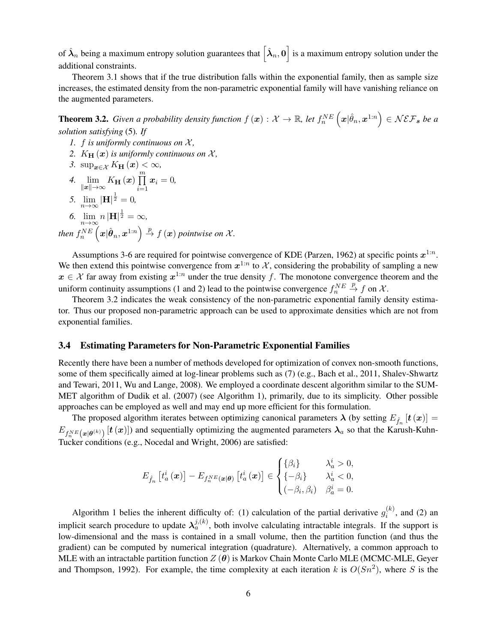<span id="page-7-0"></span>of  $\hat{\bm{\lambda}}_n$  being a maximum entropy solution guarantees that  $\big[\hat{\bm{\lambda}}_n, \bm{0}\big]$  is a maximum entropy solution under the additional constraints.

Theorem [3.1](#page-6-0) shows that if the true distribution falls within the exponential family, then as sample size increases, the estimated density from the non-parametric exponential family will have vanishing reliance on the augmented parameters.

**Theorem 3.2.** Given a probability density function  $f(x): \mathcal{X} \to \mathbb{R}$ , let  $f_n^{NE}\left(\mathbf{x}|\hat{\theta}_n, \mathbf{x}^{1:n}\right) \in \mathcal{NEF_s}$  be a *solution satisfying* [\(5\)](#page-5-0)*. If*

- *1.*  $f$  *is uniformly continuous on*  $X$ *,*
- 2.  $K_{\mathbf{H}}(\mathbf{x})$  *is uniformly continuous on*  $\mathcal{X}$ *,*
- 3. sup $_{\mathbf{x} \in \mathcal{X}} K_{\mathbf{H}}(\mathbf{x}) < \infty$ ,
- 4.  $\lim_{\|\boldsymbol{x}\|\to\infty} K_{\mathbf{H}}(\boldsymbol{x}) \prod_{i=1}^{m}$  $i=1$  $\boldsymbol{x}_i = 0,$ 1
- *5.*  $\lim_{n \to \infty} |\mathbf{H}|^{\frac{1}{2}} = 0$ ,
- 6.  $\lim_{n\to\infty} n |\mathbf{H}|^{\frac{1}{2}} = \infty$ ,

then  $f_n^{NE}\left(\boldsymbol{x}|\hat{\boldsymbol{\theta}}_n,\boldsymbol{x}^{1:n}\right)\overset{p}{\to}f\left(\boldsymbol{x}\right)$  pointwise on  $\mathcal{X}$ .

Assumptions 3-6 are required for pointwise convergence of KDE [\(Parzen, 1962\)](#page-16-0) at specific points  $x^{1:n}$ . We then extend this pointwise convergence from  $x^{1:n}$  to X, considering the probability of sampling a new  $x \in \mathcal{X}$  far away from existing  $x^{1:n}$  under the true density f. The monotone convergence theorem and the uniform continuity assumptions (1 and 2) lead to the pointwise convergence  $f_n^{NE} \stackrel{p}{\rightarrow} f$  on X.

Theorem 3.2 indicates the weak consistency of the non-parametric exponential family density estimator. Thus our proposed non-parametric approach can be used to approximate densities which are not from exponential families.

### 3.4 Estimating Parameters for Non-Parametric Exponential Families

Recently there have been a number of methods developed for optimization of convex non-smooth functions, some of them specifically aimed at log-linear problems such as [\(7\)](#page-6-0) (e.g., [Bach et al., 2011,](#page-15-0) [Shalev-Shwartz](#page-16-0) [and Tewari, 2011, Wu and Lange, 2008\)](#page-16-0). We employed a coordinate descent algorithm similar to the SUM-MET algorithm of [Dudik et al.](#page-15-0) [\(2007\)](#page-15-0) (see Algorithm [1\)](#page-8-0), primarily, due to its simplicity. Other possible approaches can be employed as well and may end up more efficient for this formulation.

The proposed algorithm iterates between optimizing canonical parameters  $\bm{\lambda}$  (by setting  $E_{\hat{f}_n}$   $[\bm{t}\left(\bm{x}\right)]=$  $E_{f_n^{NE}(x|\theta^{(k)})}[t(x)])$  and sequentially optimizing the augmented parameters  $\lambda_a$  so that the Karush-Kuhn-Tucker conditions (e.g., [Nocedal and Wright, 2006\)](#page-16-0) are satisfied:

$$
E_{\hat{f}_n}\left[t_a^i\left(\boldsymbol{x}\right)\right] - E_{f_n^{NE}(\boldsymbol{x}|\boldsymbol{\theta})}\left[t_a^i\left(\boldsymbol{x}\right)\right] \in \begin{cases} \{\beta_i\} & \lambda_a^i > 0, \\ \{-\beta_i\} & \lambda_a^i < 0, \\ (-\beta_i, \beta_i) & \beta_a^i = 0. \end{cases}
$$

Algorithm [1](#page-8-0) belies the inherent difficulty of: (1) calculation of the partial derivative  $g_i^{(k)}$  $i^{(k)}$ , and (2) an implicit search procedure to update  $\lambda_a^{j,(k)}$ , both involve calculating intractable integrals. If the support is low-dimensional and the mass is contained in a small volume, then the partition function (and thus the gradient) can be computed by numerical integration (quadrature). Alternatively, a common approach to MLE with an intractable partition function  $Z(\theta)$  is Markov Chain Monte Carlo MLE (MCMC-MLE, [Geyer](#page-15-0) [and Thompson, 1992\)](#page-15-0). For example, the time complexity at each iteration k is  $O(Sn^2)$ , where S is the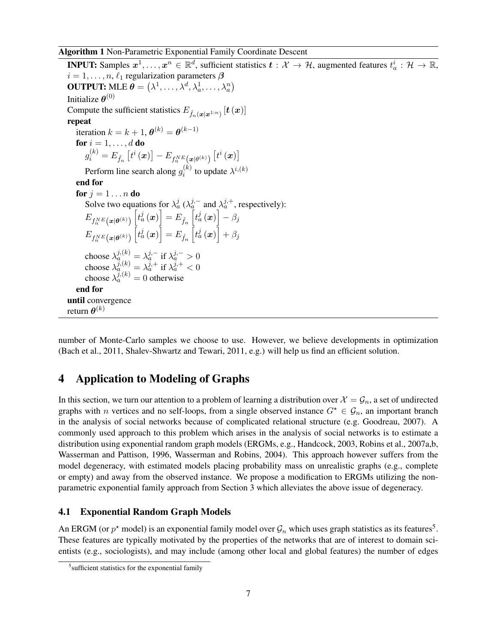#### <span id="page-8-0"></span>Algorithm 1 Non-Parametric Exponential Family Coordinate Descent

**INPUT:** Samples  $x^1, \ldots, x^n \in \mathbb{R}^d$ , sufficient statistics  $t: \mathcal{X} \to \mathcal{H}$ , augmented features  $t_a^i: \mathcal{H} \to \mathbb{R}$ ,  $i = 1, \ldots, n, \ell_1$  regularization parameters  $\beta$ **OUTPUT:** MLE  $\boldsymbol{\theta} = (\lambda^1, \dots, \lambda^d, \lambda^1_a, \dots, \lambda^n_a)$ Initialize  $\boldsymbol{\theta}^{(0)}$ Compute the sufficient statistics  $E_{\hat{f}_n(\boldsymbol{x}|\boldsymbol{x}^{1:n})}\left[\boldsymbol{t}\left(\boldsymbol{x}\right)\right]$ repeat iteration  $k = k + 1$ ,  $\theta^{(k)} = \theta^{(k-1)}$ for  $i = 1, \ldots, d$  do  $g_{i}^{\left(k\right)}=E_{\hat{f}_{n}}\left[t^{i}\left(\boldsymbol{x}\right)\right]-E_{f_{n}^{NE}\left(\boldsymbol{x}\mid\theta^{\left(k\right)}\right)}\left[t^{i}\left(\boldsymbol{x}\right)\right]$ Perform line search along  $g_i^{(k)}$  $i^{(k)}$  to update  $\lambda^{i,(k)}$ end for for  $i = 1 \ldots n$  do Solve two equations for  $\lambda_a^j$  ( $\lambda_a^{j,-}$  and  $\lambda_a^{j,+}$ , respectively):  $E_{f_n^{NE}\left(\boldsymbol{x}|\boldsymbol{\theta}^{(k)}\right)}$  $\left[t_a^j\left(\boldsymbol{x}\right)\right]=E_{\hat{f}_n}\left[t_a^j\left(\boldsymbol{x}\right)\right]-\beta_j$  $E_{f_n^{NE}\left(\boldsymbol{x}|\boldsymbol{\theta}^{(k)}\right)}$  $\left[t_{a}^{j}\left(\boldsymbol{x}\right)\right]=E_{\hat{f}_{n}}\left[t_{a}^{j}\left(\boldsymbol{x}\right)\right]+\beta_{j}% \left[t_{a}^{j}\left(\boldsymbol{x}\right)\right]$ choose  $\lambda_a^{j,(k)} = \lambda_a^{j,-}$  if  $\lambda_a^{j,-} > 0$ choose  $\lambda_a^{j,(k)} = \lambda_a^{j,+}$  if  $\lambda_a^{j,+} < 0$ choose  $\lambda_a^{j,(k)} = 0$  otherwise end for until convergence return  $\boldsymbol{\theta}^{(k)}$ 

number of Monte-Carlo samples we choose to use. However, we believe developments in optimization [\(Bach et al., 2011,](#page-15-0) [Shalev-Shwartz and Tewari, 2011,](#page-16-0) e.g.) will help us find an efficient solution.

# 4 Application to Modeling of Graphs

In this section, we turn our attention to a problem of learning a distribution over  $\mathcal{X} = \mathcal{G}_n$ , a set of undirected graphs with n vertices and no self-loops, from a single observed instance  $G^* \in \mathcal{G}_n$ , an important branch in the analysis of social networks because of complicated relational structure (e.g. [Goodreau, 2007\)](#page-15-0). A commonly used approach to this problem which arises in the analysis of social networks is to estimate a distribution using exponential random graph models (ERGMs, e.g., [Handcock, 2003,](#page-15-0) [Robins et al., 2007a,b,](#page-16-0) [Wasserman and Pattison, 1996, Wasserman and Robins, 2004\)](#page-16-0). This approach however suffers from the model degeneracy, with estimated models placing probability mass on unrealistic graphs (e.g., complete or empty) and away from the observed instance. We propose a modification to ERGMs utilizing the nonparametric exponential family approach from Section [3](#page-4-0) which alleviates the above issue of degeneracy.

## 4.1 Exponential Random Graph Models

An ERGM (or  $p^*$  model) is an exponential family model over  $\mathcal{G}_n$  which uses graph statistics as its features<sup>5</sup>. These features are typically motivated by the properties of the networks that are of interest to domain scientists (e.g., sociologists), and may include (among other local and global features) the number of edges

<sup>&</sup>lt;sup>5</sup>sufficient statistics for the exponential family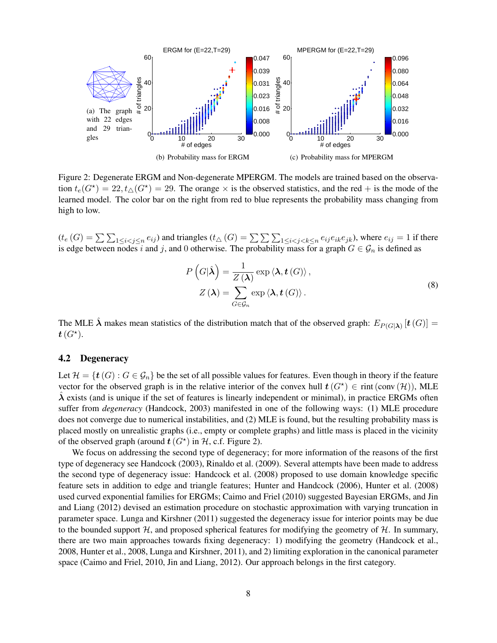<span id="page-9-0"></span>

Figure 2: Degenerate ERGM and Non-degenerate MPERGM. The models are trained based on the observation  $t_e(G^*) = 22$ ,  $t_{\Delta}(G^*) = 29$ . The orange  $\times$  is the observed statistics, and the red + is the mode of the learned model. The color bar on the right from red to blue represents the probability mass changing from high to low.

 $(t_e(G) = \sum \sum_{1 \leq i < j \leq n} e_{ij})$  and triangles  $(t_\Delta(G) = \sum \sum \sum_{1 \leq i < j < k \leq n} e_{ij} e_{ik} e_{jk})$ , where  $e_{ij} = 1$  if there is edge between nodes i and j, and 0 otherwise. The probability mass for a graph  $G \in \mathcal{G}_n$  is defined as

$$
P\left(G|\hat{\lambda}\right) = \frac{1}{Z\left(\lambda\right)} \exp\left\langle \lambda, t\left(G\right) \right\rangle, Z\left(\lambda\right) = \sum_{G \in \mathcal{G}_n} \exp\left\langle \lambda, t\left(G\right) \right\rangle.
$$
 (8)

The MLE  $\hat{\lambda}$  makes mean statistics of the distribution match that of the observed graph:  $E_{P(G|\lambda)}$   $[t(G)] =$  $\boldsymbol{t}$   $(G^{\star}).$ 

#### 4.2 Degeneracy

Let  $\mathcal{H} = \{t(G) : G \in \mathcal{G}_n\}$  be the set of all possible values for features. Even though in theory if the feature vector for the observed graph is in the relative interior of the convex hull  $t(G^*) \in \text{rint}(\text{conv}(\mathcal{H}))$ , MLE  $\lambda$  exists (and is unique if the set of features is linearly independent or minimal), in practice ERGMs often suffer from *degeneracy* [\(Handcock, 2003\)](#page-15-0) manifested in one of the following ways: (1) MLE procedure does not converge due to numerical instabilities, and (2) MLE is found, but the resulting probability mass is placed mostly on unrealistic graphs (i.e., empty or complete graphs) and little mass is placed in the vicinity of the observed graph (around  $t(G^*)$  in  $H$ , c.f. Figure 2).

We focus on addressing the second type of degeneracy; for more information of the reasons of the first type of degeneracy see [Handcock](#page-15-0) [\(2003\)](#page-15-0), [Rinaldo et al.](#page-16-0) [\(2009\)](#page-16-0). Several attempts have been made to address the second type of degeneracy issue: [Handcock et al.](#page-15-0) [\(2008\)](#page-15-0) proposed to use domain knowledge specific feature sets in addition to edge and triangle features; [Hunter and Handcock](#page-15-0) [\(2006\)](#page-15-0), [Hunter et al.](#page-15-0) [\(2008\)](#page-15-0) used curved exponential families for ERGMs; [Caimo and Friel](#page-15-0) [\(2010\)](#page-15-0) suggested Bayesian ERGMs, and [Jin](#page-16-0) [and Liang](#page-16-0) [\(2012\)](#page-16-0) devised an estimation procedure on stochastic approximation with varying truncation in parameter space. [Lunga and Kirshner](#page-16-0) [\(2011\)](#page-16-0) suggested the degeneracy issue for interior points may be due to the bounded support  $H$ , and proposed spherical features for modifying the geometry of  $H$ . In summary, there are two main approaches towards fixing degeneracy: 1) modifying the geometry [\(Handcock et al.,](#page-15-0) [2008, Hunter et al., 2008,](#page-15-0) [Lunga and Kirshner, 2011\)](#page-16-0), and 2) limiting exploration in the canonical parameter space [\(Caimo and Friel, 2010,](#page-15-0) [Jin and Liang, 2012\)](#page-16-0). Our approach belongs in the first category.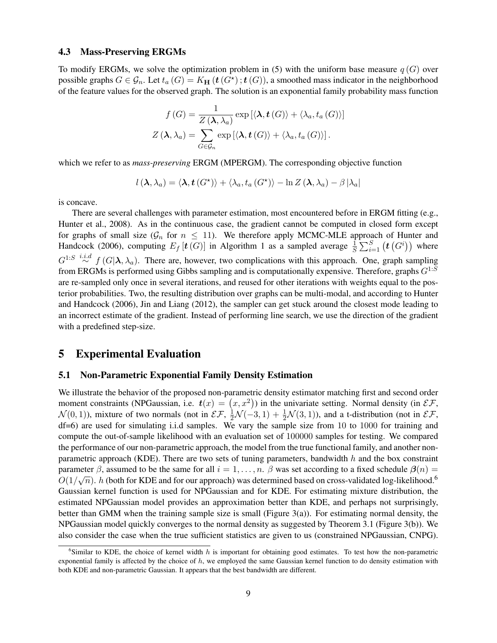#### <span id="page-10-0"></span>4.3 Mass-Preserving ERGMs

To modify ERGMs, we solve the optimization problem in [\(5\)](#page-5-0) with the uniform base measure  $q(G)$  over possible graphs  $G \in \mathcal{G}_n$ . Let  $t_a(G) = K_H(\mathbf{t}(G^*); \mathbf{t}(G))$ , a smoothed mass indicator in the neighborhood of the feature values for the observed graph. The solution is an exponential family probability mass function

$$
f(G) = \frac{1}{Z(\lambda, \lambda_a)} \exp\left[\langle \lambda, t(G) \rangle + \langle \lambda_a, t_a(G) \rangle\right]
$$

$$
Z(\lambda, \lambda_a) = \sum_{G \in \mathcal{G}_n} \exp\left[\langle \lambda, t(G) \rangle + \langle \lambda_a, t_a(G) \rangle\right].
$$

which we refer to as *mass-preserving* ERGM (MPERGM). The corresponding objective function

$$
l(\lambda, \lambda_a) = \langle \lambda, t(G^{\star}) \rangle + \langle \lambda_a, t_a(G^{\star}) \rangle - \ln Z(\lambda, \lambda_a) - \beta |\lambda_a|
$$

is concave.

There are several challenges with parameter estimation, most encountered before in ERGM fitting (e.g., [Hunter et al., 2008\)](#page-15-0). As in the continuous case, the gradient cannot be computed in closed form except for graphs of small size ( $\mathcal{G}_n$  for  $n \leq 11$ ). We therefore apply MCMC-MLE approach of [Hunter and](#page-15-0) [Handcock](#page-15-0) [\(2006\)](#page-15-0), computing  $E_f$  [ $t(G)$ ] in Algorithm [1](#page-8-0) as a sampled average  $\frac{1}{S} \sum_{i=1}^{S} (t(G^i))$  where  $G^{1:S} \stackrel{i.i.d}{\sim} f(G|\lambda, \lambda_a)$ . There are, however, two complications with this approach. One, graph sampling from ERGMs is performed using Gibbs sampling and is computationally expensive. Therefore, graphs  $G^{1:S}$ are re-sampled only once in several iterations, and reused for other iterations with weights equal to the posterior probabilities. Two, the resulting distribution over graphs can be multi-modal, and according to [Hunter](#page-15-0) [and Handcock](#page-15-0) [\(2006\)](#page-15-0), [Jin and Liang](#page-16-0) [\(2012\)](#page-16-0), the sampler can get stuck around the closest mode leading to an incorrect estimate of the gradient. Instead of performing line search, we use the direction of the gradient with a predefined step-size.

# 5 Experimental Evaluation

#### 5.1 Non-Parametric Exponential Family Density Estimation

We illustrate the behavior of the proposed non-parametric density estimator matching first and second order moment constraints (NPGaussian, i.e.  $t(x) = (x, x^2)$ ) in the univariate setting. Normal density (in  $\mathcal{EF}$ ,  $\mathcal{N}(0,1)$ ), mixture of two normals (not in  $\mathcal{EF}, \frac{1}{2}\mathcal{N}(-3,1) + \frac{1}{2}\mathcal{N}(3,1)$ ), and a t-distribution (not in  $\mathcal{EF},$ df=6) are used for simulating i.i.d samples. We vary the sample size from 10 to 1000 for training and compute the out-of-sample likelihood with an evaluation set of 100000 samples for testing. We compared the performance of our non-parametric approach, the model from the true functional family, and another nonparametric approach (KDE). There are two sets of tuning parameters, bandwidth h and the box constraint parameter  $\beta$ , assumed to be the same for all  $i = 1, ..., n$ .  $\beta$  was set according to a fixed schedule  $\beta(n) = \beta(1/\sqrt{n})$ .  $O(1/\sqrt{n})$ . h (both for KDE and for our approach) was determined based on cross-validated log-likelihood.<sup>6</sup> Gaussian kernel function is used for NPGaussian and for KDE. For estimating mixture distribution, the estimated NPGaussian model provides an approximation better than KDE, and perhaps not surprisingly, better than GMM when the training sample size is small (Figure [3\(](#page-11-0)a)). For estimating normal density, the NPGaussian model quickly converges to the normal density as suggested by Theorem [3.1](#page-6-0) (Figure [3\(](#page-11-0)b)). We also consider the case when the true sufficient statistics are given to us (constrained NPGaussian, CNPG).

 $6$ Similar to KDE, the choice of kernel width h is important for obtaining good estimates. To test how the non-parametric exponential family is affected by the choice of  $h$ , we employed the same Gaussian kernel function to do density estimation with both KDE and non-parametric Gaussian. It appears that the best bandwidth are different.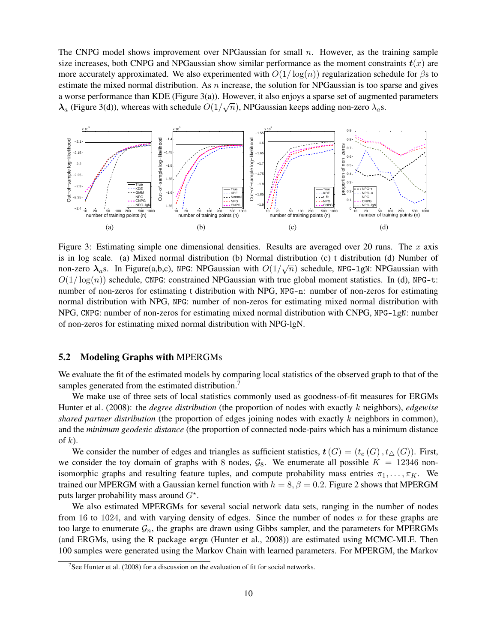<span id="page-11-0"></span>The CNPG model shows improvement over NPGaussian for small  $n$ . However, as the training sample size increases, both CNPG and NPGaussian show similar performance as the moment constraints  $t(x)$  are more accurately approximated. We also experimented with  $O(1/\log(n))$  regularization schedule for  $\beta$ s to estimate the mixed normal distribution. As  $n$  increase, the solution for NPGaussian is too sparse and gives a worse performance than KDE (Figure 3(a)). However, it also enjoys a sparse set of augmented parameters  $\lambda_a$  (Figure 3(d)), whereas with schedule  $O(1/\sqrt{n})$ , NPGaussian keeps adding non-zero  $\lambda_a$ s.



Figure 3: Estimating simple one dimensional densities. Results are averaged over 20 runs. The  $x$  axis is in log scale. (a) Mixed normal distribution (b) Normal distribution (c) t distribution (d) Number of non-zero  $\lambda_a$ s. In Figure(a,b,c), NPG: NPGaussian with  $O(1/\sqrt{n})$  schedule, NPG-1gN: NPGaussian with  $O(1/\log(n))$  schedule, CNPG: constrained NPGaussian with true global moment statistics. In (d), NPG-t: number of non-zeros for estimating t distribution with NPG, NPG-n: number of non-zeros for estimating normal distribution with NPG, NPG: number of non-zeros for estimating mixed normal distribution with NPG, CNPG: number of non-zeros for estimating mixed normal distribution with CNPG, NPG-lgN: number of non-zeros for estimating mixed normal distribution with NPG-lgN.

### 5.2 Modeling Graphs with MPERGMs

We evaluate the fit of the estimated models by comparing local statistics of the observed graph to that of the samples generated from the estimated distribution.<sup>7</sup>

We make use of three sets of local statistics commonly used as goodness-of-fit measures for ERGMs [Hunter et al.](#page-15-0) [\(2008\)](#page-15-0): the *degree distribution* (the proportion of nodes with exactly k neighbors), *edgewise shared partner distribution* (the proportion of edges joining nodes with exactly k neighbors in common), and the *minimum geodesic distance* (the proportion of connected node-pairs which has a minimum distance of  $k$ ).

We consider the number of edges and triangles as sufficient statistics,  $t(G) = (t_e(G), t_*(G))$ . First, we consider the toy domain of graphs with 8 nodes,  $\mathcal{G}_8$ . We enumerate all possible  $K = 12346$  nonisomorphic graphs and resulting feature tuples, and compute probability mass entries  $\pi_1, \ldots, \pi_K$ . We trained our MPERGM with a Gaussian kernel function with  $h = 8$ ,  $\beta = 0.2$ . Figure [2](#page-9-0) shows that MPERGM puts larger probability mass around  $G^*$ .

We also estimated MPERGMs for several social network data sets, ranging in the number of nodes from 16 to 1024, and with varying density of edges. Since the number of nodes  $n$  for these graphs are too large to enumerate  $\mathcal{G}_n$ , the graphs are drawn using Gibbs sampler, and the parameters for MPERGMs (and ERGMs, using the R package ergm [\(Hunter et al., 2008\)](#page-15-0)) are estimated using MCMC-MLE. Then 100 samples were generated using the Markov Chain with learned parameters. For MPERGM, the Markov

<sup>&</sup>lt;sup>7</sup>See [Hunter et al.](#page-15-0) [\(2008\)](#page-15-0) for a discussion on the evaluation of fit for social networks.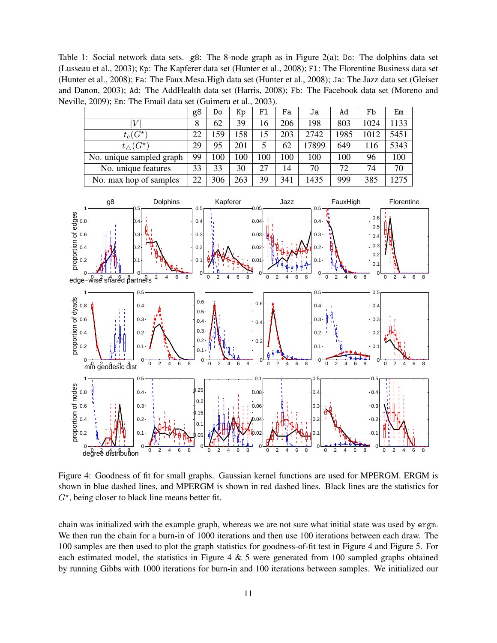<span id="page-12-0"></span>Table 1: Social network data sets. g8: The 8-node graph as in Figure [2\(](#page-9-0)a); Do: The dolphins data set [\(Lusseau et al., 2003\)](#page-16-0); Kp: The Kapferer data set [\(Hunter et al., 2008\)](#page-15-0); Fl: The Florentine Business data set [\(Hunter et al., 2008\)](#page-15-0); Fa: The Faux.Mesa.High data set [\(Hunter et al., 2008\)](#page-15-0); Ja: The Jazz data set [\(Gleiser](#page-15-0) [and Danon, 2003\)](#page-15-0); Ad: The AddHealth data set [\(Harris, 2008\)](#page-15-0); Fb: The Facebook data set [\(Moreno and](#page-16-0) [Neville, 2009\)](#page-16-0); Em: The Email data set [\(Guimera et al., 2003\)](#page-15-0).



Figure 4: Goodness of fit for small graphs. Gaussian kernel functions are used for MPERGM. ERGM is shown in blue dashed lines, and MPERGM is shown in red dashed lines. Black lines are the statistics for  $G^*$ , being closer to black line means better fit.

chain was initialized with the example graph, whereas we are not sure what initial state was used by ergm. We then run the chain for a burn-in of 1000 iterations and then use 100 iterations between each draw. The 100 samples are then used to plot the graph statistics for goodness-of-fit test in Figure 4 and Figure [5.](#page-13-0) For each estimated model, the statistics in Figure 4  $\&$  [5](#page-13-0) were generated from 100 sampled graphs obtained by running Gibbs with 1000 iterations for burn-in and 100 iterations between samples. We initialized our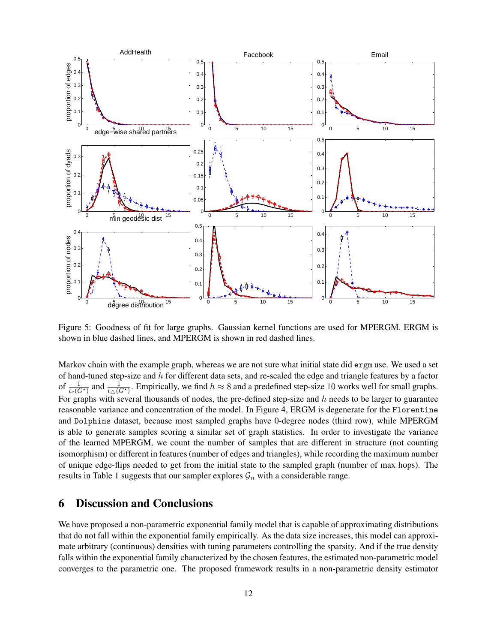<span id="page-13-0"></span>

Figure 5: Goodness of fit for large graphs. Gaussian kernel functions are used for MPERGM. ERGM is shown in blue dashed lines, and MPERGM is shown in red dashed lines.

Markov chain with the example graph, whereas we are not sure what initial state did ergm use. We used a set of hand-tuned step-size and  $h$  for different data sets, and re-scaled the edge and triangle features by a factor of  $\frac{1}{t_e(G^*)}$  and  $\frac{1}{t_{\Delta}(G^*)}$ . Empirically, we find  $h \approx 8$  and a predefined step-size 10 works well for small graphs. For graphs with several thousands of nodes, the pre-defined step-size and  $h$  needs to be larger to guarantee reasonable variance and concentration of the model. In Figure [4,](#page-12-0) ERGM is degenerate for the Florentine and Dolphins dataset, because most sampled graphs have 0-degree nodes (third row), while MPERGM is able to generate samples scoring a similar set of graph statistics. In order to investigate the variance of the learned MPERGM, we count the number of samples that are different in structure (not counting isomorphism) or different in features (number of edges and triangles), while recording the maximum number of unique edge-flips needed to get from the initial state to the sampled graph (number of max hops). The results in Table [1](#page-12-0) suggests that our sampler explores  $\mathcal{G}_n$  with a considerable range.

# 6 Discussion and Conclusions

We have proposed a non-parametric exponential family model that is capable of approximating distributions that do not fall within the exponential family empirically. As the data size increases, this model can approximate arbitrary (continuous) densities with tuning parameters controlling the sparsity. And if the true density falls within the exponential family characterized by the chosen features, the estimated non-parametric model converges to the parametric one. The proposed framework results in a non-parametric density estimator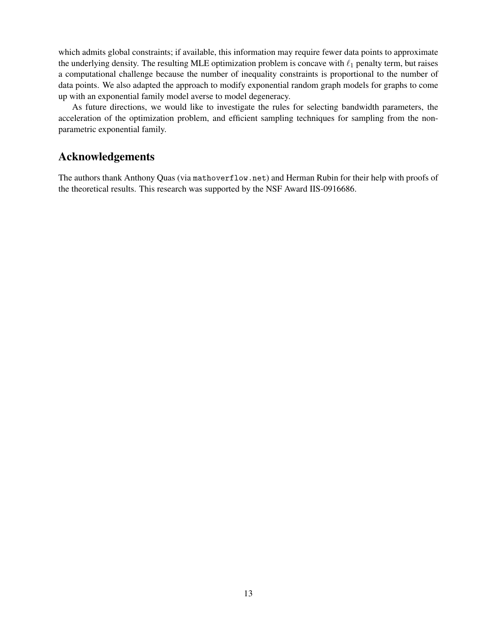which admits global constraints; if available, this information may require fewer data points to approximate the underlying density. The resulting MLE optimization problem is concave with  $\ell_1$  penalty term, but raises a computational challenge because the number of inequality constraints is proportional to the number of data points. We also adapted the approach to modify exponential random graph models for graphs to come up with an exponential family model averse to model degeneracy.

As future directions, we would like to investigate the rules for selecting bandwidth parameters, the acceleration of the optimization problem, and efficient sampling techniques for sampling from the nonparametric exponential family.

# Acknowledgements

The authors thank Anthony Quas (via <mathoverflow.net>) and Herman Rubin for their help with proofs of the theoretical results. This research was supported by the NSF Award IIS-0916686.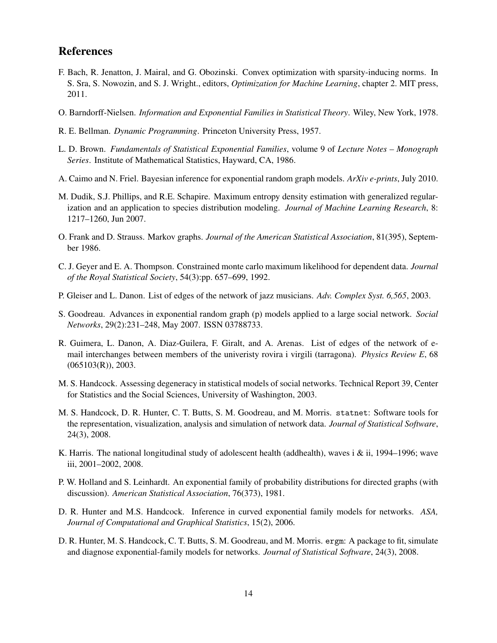# <span id="page-15-0"></span>References

- F. Bach, R. Jenatton, J. Mairal, and G. Obozinski. Convex optimization with sparsity-inducing norms. In S. Sra, S. Nowozin, and S. J. Wright., editors, *Optimization for Machine Learning*, chapter 2. MIT press, 2011.
- O. Barndorff-Nielsen. *Information and Exponential Families in Statistical Theory*. Wiley, New York, 1978.
- R. E. Bellman. *Dynamic Programming*. Princeton University Press, 1957.
- L. D. Brown. *Fundamentals of Statistical Exponential Families*, volume 9 of *Lecture Notes Monograph Series*. Institute of Mathematical Statistics, Hayward, CA, 1986.
- A. Caimo and N. Friel. Bayesian inference for exponential random graph models. *ArXiv e-prints*, July 2010.
- M. Dudik, S.J. Phillips, and R.E. Schapire. Maximum entropy density estimation with generalized regularization and an application to species distribution modeling. *Journal of Machine Learning Research*, 8: 1217–1260, Jun 2007.
- O. Frank and D. Strauss. Markov graphs. *Journal of the American Statistical Association*, 81(395), September 1986.
- C. J. Geyer and E. A. Thompson. Constrained monte carlo maximum likelihood for dependent data. *Journal of the Royal Statistical Society*, 54(3):pp. 657–699, 1992.
- P. Gleiser and L. Danon. List of edges of the network of jazz musicians. *Adv. Complex Syst. 6,565*, 2003.
- S. Goodreau. Advances in exponential random graph (p) models applied to a large social network. *Social Networks*, 29(2):231–248, May 2007. ISSN 03788733.
- R. Guimera, L. Danon, A. Diaz-Guilera, F. Giralt, and A. Arenas. List of edges of the network of email interchanges between members of the univeristy rovira i virgili (tarragona). *Physics Review E*, 68  $(065103(R))$ , 2003.
- M. S. Handcock. Assessing degeneracy in statistical models of social networks. Technical Report 39, Center for Statistics and the Social Sciences, University of Washington, 2003.
- M. S. Handcock, D. R. Hunter, C. T. Butts, S. M. Goodreau, and M. Morris. statnet: Software tools for the representation, visualization, analysis and simulation of network data. *Journal of Statistical Software*, 24(3), 2008.
- K. Harris. The national longitudinal study of adolescent health (addhealth), waves i & ii, 1994–1996; wave iii, 2001–2002, 2008.
- P. W. Holland and S. Leinhardt. An exponential family of probability distributions for directed graphs (with discussion). *American Statistical Association*, 76(373), 1981.
- D. R. Hunter and M.S. Handcock. Inference in curved exponential family models for networks. *ASA, Journal of Computational and Graphical Statistics*, 15(2), 2006.
- D. R. Hunter, M. S. Handcock, C. T. Butts, S. M. Goodreau, and M. Morris. ergm: A package to fit, simulate and diagnose exponential-family models for networks. *Journal of Statistical Software*, 24(3), 2008.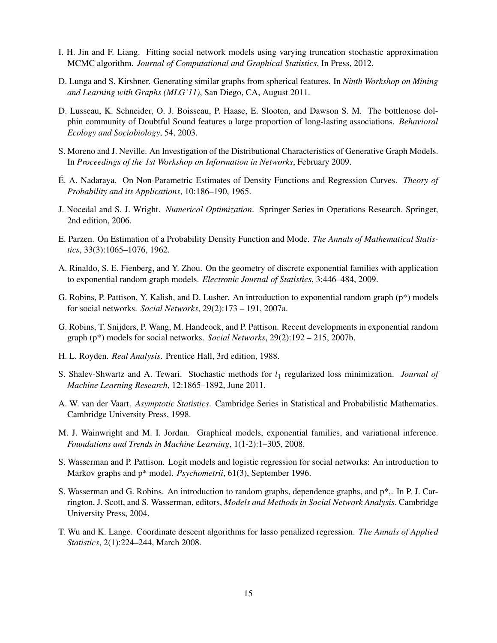- <span id="page-16-0"></span>I. H. Jin and F. Liang. Fitting social network models using varying truncation stochastic approximation MCMC algorithm. *Journal of Computational and Graphical Statistics*, In Press, 2012.
- D. Lunga and S. Kirshner. Generating similar graphs from spherical features. In *Ninth Workshop on Mining and Learning with Graphs (MLG'11)*, San Diego, CA, August 2011.
- D. Lusseau, K. Schneider, O. J. Boisseau, P. Haase, E. Slooten, and Dawson S. M. The bottlenose dolphin community of Doubtful Sound features a large proportion of long-lasting associations. *Behavioral Ecology and Sociobiology*, 54, 2003.
- S. Moreno and J. Neville. An Investigation of the Distributional Characteristics of Generative Graph Models. In *Proceedings of the 1st Workshop on Information in Networks*, February 2009.
- É. A. Nadaraya. On Non-Parametric Estimates of Density Functions and Regression Curves. *Theory of Probability and its Applications*, 10:186–190, 1965.
- J. Nocedal and S. J. Wright. *Numerical Optimization*. Springer Series in Operations Research. Springer, 2nd edition, 2006.
- E. Parzen. On Estimation of a Probability Density Function and Mode. *The Annals of Mathematical Statistics*, 33(3):1065–1076, 1962.
- A. Rinaldo, S. E. Fienberg, and Y. Zhou. On the geometry of discrete exponential families with application to exponential random graph models. *Electronic Journal of Statistics*, 3:446–484, 2009.
- G. Robins, P. Pattison, Y. Kalish, and D. Lusher. An introduction to exponential random graph  $(p^*)$  models for social networks. *Social Networks*, 29(2):173 – 191, 2007a.
- G. Robins, T. Snijders, P. Wang, M. Handcock, and P. Pattison. Recent developments in exponential random graph (p\*) models for social networks. *Social Networks*, 29(2):192 – 215, 2007b.
- H. L. Royden. *Real Analysis*. Prentice Hall, 3rd edition, 1988.
- S. Shalev-Shwartz and A. Tewari. Stochastic methods for  $l_1$  regularized loss minimization. *Journal of Machine Learning Research*, 12:1865–1892, June 2011.
- A. W. van der Vaart. *Asymptotic Statistics*. Cambridge Series in Statistical and Probabilistic Mathematics. Cambridge University Press, 1998.
- M. J. Wainwright and M. I. Jordan. Graphical models, exponential families, and variational inference. *Foundations and Trends in Machine Learning*, 1(1-2):1–305, 2008.
- S. Wasserman and P. Pattison. Logit models and logistic regression for social networks: An introduction to Markov graphs and p\* model. *Psychometrii*, 61(3), September 1996.
- S. Wasserman and G. Robins. An introduction to random graphs, dependence graphs, and p\*,. In P. J. Carrington, J. Scott, and S. Wasserman, editors, *Models and Methods in Social Network Analysis*. Cambridge University Press, 2004.
- T. Wu and K. Lange. Coordinate descent algorithms for lasso penalized regression. *The Annals of Applied Statistics*, 2(1):224–244, March 2008.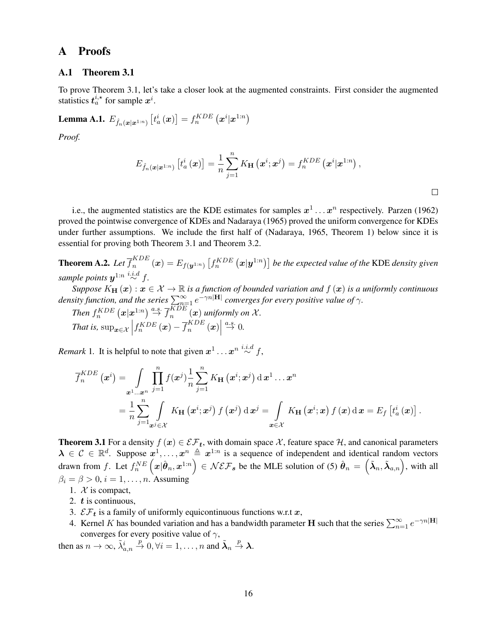# <span id="page-17-0"></span>A Proofs

### A.1 Theorem [3.1](#page-6-0)

To prove Theorem [3.1,](#page-6-0) let's take a closer look at the augmented constraints. First consider the augmented statistics  $t_a^{i,\star}$  for sample  $x^i$ .

Lemma A.1.  $E_{\hat{f}_n(\boldsymbol{x}|\boldsymbol{x}^{1:n})}\left[t_a^i\left(\boldsymbol{x}\right)\right] = f_n^{KDE}\left(\boldsymbol{x}^i|\boldsymbol{x}^{1:n}\right)$ 

*Proof.*

$$
E_{\hat{f}_n(\boldsymbol{x}|\boldsymbol{x}^{1:n})}\left[t_a^i\left(\boldsymbol{x}\right)\right]=\frac{1}{n}\sum_{j=1}^nK_{\mathbf{H}}\left(\boldsymbol{x}^i;\boldsymbol{x}^j\right)=f_n^{KDE}\left(\boldsymbol{x}^i|\boldsymbol{x}^{1:n}\right),
$$

i.e., the augmented statistics are the KDE estimates for samples  $x^1 \dots x^n$  respectively. [Parzen](#page-16-0) [\(1962\)](#page-16-0) proved the pointwise convergence of KDEs and [Nadaraya](#page-16-0) [\(1965\)](#page-16-0) proved the uniform convergence for KDEs under further assumptions. We include the first half of [\(Nadaraya, 1965,](#page-16-0) Theorem 1) below since it is essential for proving both Theorem [3.1](#page-6-0) and Theorem [3.2.](#page-7-0)

**Theorem A.2.** Let  $\overline{f}_n^{KDE}$  $\int_{n}^{KDE}(\bm{x})=E_{f(\bm{y}^{1:n})}\left[f_{n}^{KDE}\left(\bm{x}|\bm{y}^{1:n}\right)\right]$  be the expected value of the KDE density given sample points  $y^{1:n} \stackrel{i.i.d}{\sim} f$ .

*Suppose*  $K_H(x)$  :  $x \in \mathcal{X} \to \mathbb{R}$  *is a function of bounded variation and*  $f(x)$  *is a uniformly continuous density function, and the series*  $\sum_{n=1}^{\infty} e^{-\gamma n} |H|$  *converges for every positive value of*  $\gamma$ *.* 

Then 
$$
f_n^{KDE}
$$
 ( $\boldsymbol{x} | \boldsymbol{x}^{1:n}$ )  $\stackrel{a.s.}{\rightarrow} \overline{f}_n^{KDE}$  ( $\boldsymbol{x}$ ) uniformly on  $\mathcal{X}$ .  
That is,  $\sup_{\boldsymbol{x} \in \mathcal{X}} \left| f_n^{KDE}(\boldsymbol{x}) - \overline{f}_n^{KDE}(\boldsymbol{x}) \right| \stackrel{a.s.}{\rightarrow} 0$ .

*Remark* 1. It is helpful to note that given  $x^1 \dots x^n \stackrel{i.i.d}{\sim} f$ ,

$$
\overline{f}_{n}^{KDE}(\boldsymbol{x}^{i}) = \int_{\boldsymbol{x}^{1}... \boldsymbol{x}^{n}} \prod_{j=1}^{n} f(\boldsymbol{x}^{j}) \frac{1}{n} \sum_{j=1}^{n} K_{\mathbf{H}}(\boldsymbol{x}^{i}; \boldsymbol{x}^{j}) d \boldsymbol{x}^{1} ... \boldsymbol{x}^{n}
$$
\n
$$
= \frac{1}{n} \sum_{j=1}^{n} \int_{\boldsymbol{x}^{j} \in \mathcal{X}} K_{\mathbf{H}}(\boldsymbol{x}^{i}; \boldsymbol{x}^{j}) f(\boldsymbol{x}^{j}) d \boldsymbol{x}^{j} = \int_{\boldsymbol{x} \in \mathcal{X}} K_{\mathbf{H}}(\boldsymbol{x}^{i}; \boldsymbol{x}) f(\boldsymbol{x}) d \boldsymbol{x} = E_{f} [t_{a}^{i}(\boldsymbol{x})].
$$

**Theorem [3.1](#page-6-0)** For a density  $f(x) \in \mathcal{EF}_t$ , with domain space X, feature space H, and canonical parameters  $\lambda \in \mathcal{C} \in \mathbb{R}^d$ . Suppose  $x^1, \ldots, x^n \triangleq x^{1:n}$  is a sequence of independent and identical random vectors drawn from f. Let  $f_n^{NE}\left(\boldsymbol{x}|\hat{\boldsymbol{\theta}}_n,\boldsymbol{x}^{1:n}\right) \in \mathcal{NEF}_{\boldsymbol{s}}$  be the MLE solution of [\(5\)](#page-5-0)  $\hat{\boldsymbol{\theta}}_n = \left(\tilde{\boldsymbol{\lambda}}_n, \tilde{\boldsymbol{\lambda}}_{a,n}\right)$ , with all  $\beta_i = \beta > 0, i = 1, \dots, n$ . Assuming

- 1.  $\mathcal{X}$  is compact,
- 2.  $t$  is continuous,
- 3.  $\mathcal{EF}_t$  is a family of uniformly equicontinuous functions w.r.t x,
- 4. Kernel K has bounded variation and has a bandwidth parameter H such that the series  $\sum_{n=1}^{\infty} e^{-\gamma n|\mathbf{H}|}$ converges for every positive value of  $\gamma$ ,

then as  $n \to \infty$ ,  $\tilde{\lambda}_{a,n}^i \stackrel{p}{\to} 0$ ,  $\forall i = 1, \ldots, n$  and  $\tilde{\lambda}_n \stackrel{p}{\to} \lambda$ .

 $\Box$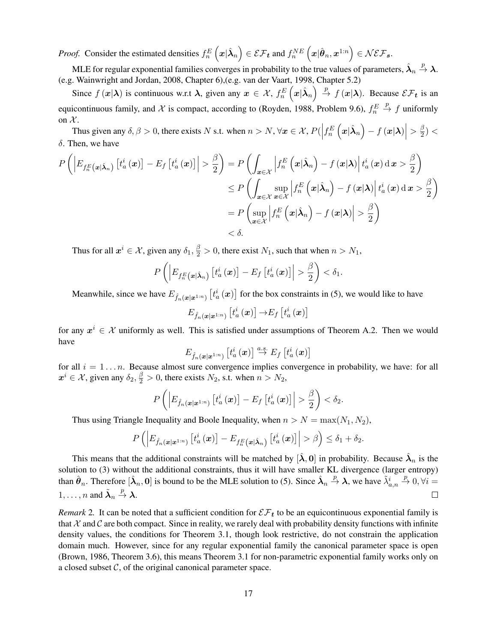<span id="page-18-0"></span>*Proof.* Consider the estimated densities  $f_n^E\left(\bm{x}|\hat{\bm{\lambda}}_n\right) \in \mathcal{EF}_{\bm{t}}$  and  $f_n^{NE}\left(\bm{x}|\hat{\bm{\theta}}_n,\bm{x}^{1:n}\right) \in \mathcal{NEF}_{\bm{s}}$ .

MLE for regular exponential families converges in probability to the true values of parameters,  $\hat{\lambda}_n \stackrel{p}{\to} \lambda$ . (e.g. [Wainwright and Jordan, 2008,](#page-16-0) Chapter 6),(e.g. [van der Vaart, 1998,](#page-16-0) Chapter 5.2)

Since  $f(x|\lambda)$  is continuous w.r.t  $\lambda$ , given any  $x \in \mathcal{X}$ ,  $f_n^E(x|\hat{\lambda}_n) \stackrel{p}{\to} f(x|\lambda)$ . Because  $\mathcal{EF}_t$  is an equicontinuous family, and X is compact, according to [\(Royden, 1988,](#page-16-0) Problem 9.6),  $f_n^E \stackrel{p}{\to} f$  uniformly on  $\mathcal{X}$ .

Thus given any  $\delta, \beta > 0$ , there exists N s.t. when  $n > N$ ,  $\forall x \in \mathcal{X}$ ,  $P(\left|f_n^E(x|\hat{\lambda}_n) - f(x|\lambda)\right| > \frac{\beta}{2})$  $\frac{1}{2})$  <  $\delta$ . Then, we have

$$
P\left(\left|E_{f_n^E(\boldsymbol{x}|\hat{\boldsymbol{\lambda}}_n)}\left[t_a^i(\boldsymbol{x})\right] - E_f\left[t_a^i(\boldsymbol{x})\right]\right| > \frac{\beta}{2}\right) = P\left(\int_{\boldsymbol{x}\in\mathcal{X}}\left|f_n^E\left(\boldsymbol{x}|\hat{\boldsymbol{\lambda}}_n\right) - f\left(\boldsymbol{x}|\boldsymbol{\lambda}\right)\right|t_a^i(\boldsymbol{x})\,\mathrm{d}\,\boldsymbol{x} > \frac{\beta}{2}\right) \\
\leq P\left(\int_{\boldsymbol{x}\in\mathcal{X}}\sup_{\boldsymbol{x}\in\mathcal{X}}\left|f_n^E\left(\boldsymbol{x}|\hat{\boldsymbol{\lambda}}_n\right) - f\left(\boldsymbol{x}|\boldsymbol{\lambda}\right)\right|t_a^i(\boldsymbol{x})\,\mathrm{d}\,\boldsymbol{x} > \frac{\beta}{2}\right) \\
= P\left(\sup_{\boldsymbol{x}\in\mathcal{X}}\left|f_n^E\left(\boldsymbol{x}|\hat{\boldsymbol{\lambda}}_n\right) - f\left(\boldsymbol{x}|\boldsymbol{\lambda}\right)\right| > \frac{\beta}{2}\right) \\
<\delta.
$$

Thus for all  $x^i \in \mathcal{X}$ , given any  $\delta_1, \frac{\beta}{2} > 0$ , there exist  $N_1$ , such that when  $n > N_1$ ,

$$
P\left(\left|E_{f_n^E(\boldsymbol{x}|\hat{\boldsymbol{\lambda}}_n)}\left[t_a^i(\boldsymbol{x})\right] - E_f\left[t_a^i(\boldsymbol{x})\right]\right| > \frac{\beta}{2}\right) < \delta_1.
$$

Meanwhile, since we have  $E_{\hat{f}_n(x|x^{1:n})}\left[t^i_a(x)\right]$  for the box constraints in [\(5\)](#page-5-0), we would like to have

$$
E_{\hat{f}_n(\boldsymbol{x}|\boldsymbol{x}^{1:n})}\left[t_a^i\left(\boldsymbol{x}\right)\right] \rightarrow E_f\left[t_a^i\left(\boldsymbol{x}\right)\right]
$$

for any  $x^i \in \mathcal{X}$  uniformly as well. This is satisfied under assumptions of Theorem [A.2.](#page-17-0) Then we would have

$$
E_{\hat{f}_n\left(\boldsymbol{x}|\boldsymbol{x}^{1:n}\right)}\left[t_a^i\left(\boldsymbol{x}\right)\right]\overset{a.s.}{\rightarrow}E_f\left[t_a^i\left(\boldsymbol{x}\right)\right]
$$

for all  $i = 1...n$ . Because almost sure convergence implies convergence in probability, we have: for all  $x^i \in \mathcal{X}$ , given any  $\delta_2$ ,  $\frac{\beta}{2} > 0$ , there exists  $N_2$ , s.t. when  $n > N_2$ ,

$$
P\left(\left|E_{\hat{f}_n(\boldsymbol{x}|\boldsymbol{x}^{1:n})}\left[t_a^i(\boldsymbol{x})\right] - E_f\left[t_a^i(\boldsymbol{x})\right]\right| > \frac{\beta}{2}\right) < \delta_2.
$$

Thus using Triangle Inequality and Boole Inequality, when  $n > N = \max(N_1, N_2)$ ,

$$
P\left(\left|E_{\hat{f}_n(\boldsymbol{x}|\boldsymbol{x}^{1:n})}\left[t_a^i\left(\boldsymbol{x}\right)\right]-E_{f_n^E\left(\boldsymbol{x}|\hat{\boldsymbol{\lambda}}_n\right)}\left[t_a^i\left(\boldsymbol{x}\right)\right]\right|>\beta\right)\leq \delta_1+\delta_2.
$$

This means that the additional constraints will be matched by  $[\hat{\lambda}, 0]$  in probability. Because  $\hat{\lambda}_n$  is the solution to [\(3\)](#page-3-0) without the additional constraints, thus it will have smaller KL divergence (larger entropy) than  $\hat{\theta}_n$ . Therefore  $[\hat{\lambda}_n, 0]$  is bound to be the MLE solution to [\(5\)](#page-5-0). Since  $\hat{\lambda}_n \stackrel{p}{\rightarrow} \lambda$ , we have  $\tilde{\lambda}_{a,n}^i \stackrel{p}{\rightarrow} 0$ ,  $\forall i =$  $1, \ldots, n$  and  $\tilde{\lambda}_n \stackrel{p}{\rightarrow} \lambda$ .  $\Box$ 

*Remark* 2. It can be noted that a sufficient condition for  $\mathcal{EF}_t$  to be an equicontinuous exponential family is that  $\mathcal X$  and  $\mathcal C$  are both compact. Since in reality, we rarely deal with probability density functions with infinite density values, the conditions for Theorem [3.1,](#page-6-0) though look restrictive, do not constrain the application domain much. However, since for any regular exponential family the canonical parameter space is open [\(Brown, 1986,](#page-15-0) Theorem 3.6), this means Theorem [3.1](#page-6-0) for non-parametric exponential family works only on a closed subset  $\mathcal{C}$ , of the original canonical parameter space.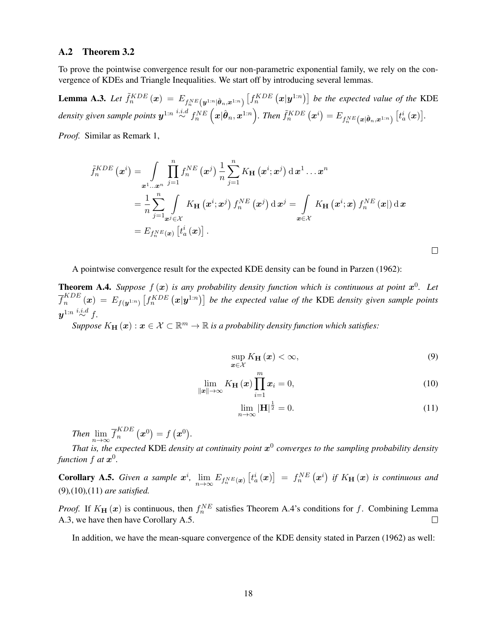### <span id="page-19-0"></span>A.2 Theorem [3.2](#page-7-0)

To prove the pointwise convergence result for our non-parametric exponential family, we rely on the convergence of KDEs and Triangle Inequalities. We start off by introducing several lemmas.

**Lemma A.3.** Let  $\tilde{f}_n^{KDE}(x) = E_{f_n^{NE}}(y^{1:n}|\hat{\theta}_n, x^{1:n}) \left[ f_n^{KDE}(x|y^{1:n}) \right]$  be the expected value of the KDE density given sample points  $\bm{y}^{1:n}\stackrel{i.i.d}{\sim} f^{NE}_n\left(\bm{x}|\hat{\bm{\theta}}_n,\bm{x}^{1:n}\right)$ . Then  $\tilde{f}^{KDE}_n\left(\bm{x}^i\right)=E_{f^{NE}_n\left(\bm{x}|\hat{\bm{\theta}}_n,\bm{x}^{1:n}\right)}\left[t^i_a\left(\bm{x}\right)\right]$ .

*Proof.* Similar as Remark [1,](#page-17-0)

$$
\tilde{f}_{n}^{KDE}(\boldsymbol{x}^{i}) = \int_{\boldsymbol{x}^{1}... \boldsymbol{x}^{n}} \prod_{j=1}^{n} f_{n}^{NE}(\boldsymbol{x}^{j}) \frac{1}{n} \sum_{j=1}^{n} K_{\mathbf{H}}(\boldsymbol{x}^{i}; \boldsymbol{x}^{j}) d \boldsymbol{x}^{1} ... \boldsymbol{x}^{n}
$$
\n
$$
= \frac{1}{n} \sum_{j=1}^{n} \int_{\boldsymbol{x}^{j} \in \mathcal{X}} K_{\mathbf{H}}(\boldsymbol{x}^{i}; \boldsymbol{x}^{j}) f_{n}^{NE}(\boldsymbol{x}^{j}) d \boldsymbol{x}^{j} = \int_{\boldsymbol{x} \in \mathcal{X}} K_{\mathbf{H}}(\boldsymbol{x}^{i}; \boldsymbol{x}) f_{n}^{NE}(\boldsymbol{x}) d \boldsymbol{x}
$$
\n
$$
= E_{f_{n}^{NE}(\boldsymbol{x})} [\dot{t}_{a}^{i}(\boldsymbol{x})].
$$

 $\Box$ 

A pointwise convergence result for the expected KDE density can be found in [Parzen](#page-16-0) [\(1962\)](#page-16-0):

**Theorem A.4.** Suppose  $f(x)$  is any probability density function which is continuous at point  $x^0$ . Let  $\overline{f}_n^{KDE}$  $\int_{n}^{KDE}$   $(x) = E_{f(y^{1:n})}\left[f_{n}^{KDE}(x|y^{1:n})\right]$  be the expected value of the KDE density given sample points  $\boldsymbol{y}^{1:n}\overset{i.i.d}{\sim}f.$ 

 $Suppose\ K_{\mathbf{H}}\left(\boldsymbol{x}\right): \boldsymbol{x}\in\mathcal{X}\subset\mathbb{R}^{m}\rightarrow\mathbb{R}$  is a probability density function which satisfies:

$$
\sup_{\boldsymbol{x}\in\mathcal{X}}K_{\mathbf{H}}\left(\boldsymbol{x}\right)<\infty,\tag{9}
$$

$$
\lim_{\|\mathbf{x}\|\to\infty} K_{\mathbf{H}}\left(\mathbf{x}\right) \prod_{i=1}^{m} \mathbf{x}_i = 0, \tag{10}
$$

$$
\lim_{n \to \infty} |\mathbf{H}|^{\frac{1}{2}} = 0. \tag{11}
$$

*Then*  $\lim_{n\to\infty} \overline{f}_n^{KDE}$  $\binom{KDE}{n}\left(\boldsymbol{x}^0\right)=f\left(\boldsymbol{x}^0\right).$ 

That is, the expected KDE density at continuity point  $x^0$  converges to the sampling probability density *function*  $f$  *at*  $\boldsymbol{x}^0$ .

**Corollary A.5.** Given a sample  $x^i$ ,  $\lim_{n\to\infty} E_{f_n^NE(x)}$   $[t^i_a(x)] = f_n^{NE}(x^i)$  if  $K_H(x)$  is continuous and [\(9\)](#page-18-0)*,*(10)*,*(11) *are satisfied.*

*Proof.* If  $K_H(x)$  is continuous, then  $f_n^{NE}$  satisfies Theorem A.4's conditions for f. Combining Lemma A.3, we have then have Corollary A.5.  $\Box$ 

In addition, we have the mean-square convergence of the KDE density stated in [Parzen](#page-16-0) [\(1962\)](#page-16-0) as well: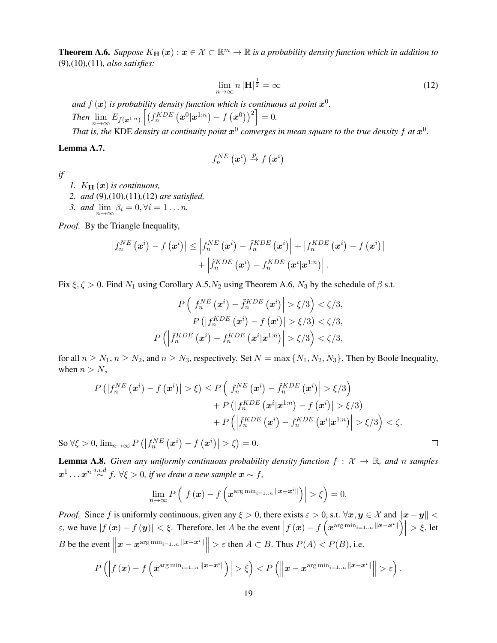<span id="page-20-0"></span>**Theorem A.6.** *Suppose*  $K_{\bf H}(\bm x): \bm x \in \mathcal X \subset \mathbb R^m \to \mathbb R$  is a probability density function which in addition to [\(9\)](#page-18-0)*,*[\(10\)](#page-19-0)*,*[\(11\)](#page-19-0)*, also satisfies:*

$$
\lim_{n \to \infty} n |\mathbf{H}|^{\frac{1}{2}} = \infty \tag{12}
$$

 $\Box$ 

and  $f\left(\boldsymbol{x}\right)$  is probability density function which is continuous at point  $\boldsymbol{x}^{0}.$ 

 $\text{Then } \lim_{n \to \infty} E_{f(\boldsymbol{x}^{1:n})} \left[ \left( f_n^{KDE} \left( \boldsymbol{x}^0 | \boldsymbol{x}^{1:n} \right) - f \left( \boldsymbol{x}^0 \right) \right)^2 \right] = 0.$ 

That is, the KDE density at continuity point  $x^0$  converges in mean square to the true density  $f$  at  $x^0$ .

### Lemma A.7.

$$
f_{n}^{NE}\left(\boldsymbol{x}^{i}\right)\overset{p}{\rightarrow}f\left(\boldsymbol{x}^{i}\right)
$$

*if*

- *1.*  $K_{\mathbf{H}}(\boldsymbol{x})$  *is continuous,*
- *2. and* [\(9\)](#page-18-0)*,*[\(10\)](#page-19-0)*,*[\(11\)](#page-19-0)*,*(12) *are satisfied,*
- *3. and*  $\lim_{n\to\infty}\beta_i=0, \forall i=1...n$ .

*Proof.* By the Triangle Inequality,

$$
\left|f_n^{NE}\left(\boldsymbol{x}^i\right) - f\left(\boldsymbol{x}^i\right)\right| \leq \left|f_n^{NE}\left(\boldsymbol{x}^i\right) - \tilde{f}_n^{KDE}\left(\boldsymbol{x}^i\right)\right| + \left|f_n^{KDE}\left(\boldsymbol{x}^i\right) - f\left(\boldsymbol{x}^i\right)\right| + \left|\tilde{f}_n^{KDE}\left(\boldsymbol{x}^i\right) - f_n^{KDE}\left(\boldsymbol{x}^i|\boldsymbol{x}^{1:n}\right)\right|.
$$

Fix  $\xi, \zeta > 0$ . Find  $N_1$  using Corollary [A.5,](#page-19-0) $N_2$  using Theorem [A.6,](#page-19-0)  $N_3$  by the schedule of  $\beta$  s.t.

$$
P\left(\left|f_n^{NE}\left(\boldsymbol{x}^i\right)-\tilde{f}_n^{KDE}\left(\boldsymbol{x}^i\right)\right|>\xi/3\right)<\zeta/3,
$$
\n
$$
P\left(\left|f_n^{KDE}\left(\boldsymbol{x}^i\right)-f\left(\boldsymbol{x}^i\right)\right|>\xi/3\right)<\zeta/3,
$$
\n
$$
P\left(\left|\tilde{f}_n^{KDE}\left(\boldsymbol{x}^i\right)-f_n^{KDE}\left(\boldsymbol{x}^i|\boldsymbol{x}^{1:n}\right)\right|>\xi/3\right)<\zeta/3,
$$

for all  $n \ge N_1$ ,  $n \ge N_2$ , and  $n \ge N_3$ , respectively. Set  $N = \max\{N_1, N_2, N_3\}$ . Then by Boole Inequality, when  $n > N$ ,

$$
P\left(\left|f_n^{NE}\left(\boldsymbol{x}^i\right)-f\left(\boldsymbol{x}^i\right)\right|>\xi\right)\leq P\left(\left|f_n^{NE}\left(\boldsymbol{x}^i\right)-\tilde{f}_n^{KDE}\left(\boldsymbol{x}^i\right)\right|>\xi/3\right)\\
+P\left(\left|f_n^{KDE}\left(\boldsymbol{x}^i|\boldsymbol{x}^{1:n}\right)-f\left(\boldsymbol{x}^i\right)\right|>\xi/3\right)\\
+P\left(\left|\tilde{f}_n^{KDE}\left(\boldsymbol{x}^i\right)-f_n^{KDE}\left(\boldsymbol{x}^i|\boldsymbol{x}^{1:n}\right)\right|>\xi/3\right)<\zeta.
$$

So  $\forall \xi > 0$ ,  $\lim_{n \to \infty} P\left( \left| f_n^{NE}\left(\boldsymbol{x}^i\right) - f\left(\boldsymbol{x}^i\right) \right| > \xi \right) = 0$ .

**Lemma A.8.** *Given any uniformly continuous probability density function*  $f : \mathcal{X} \to \mathbb{R}$ *, and n samples*  $\boldsymbol{x}^1\ldots\boldsymbol{x}^n\stackrel{i.i.d}{\sim}f.$   $\forall \xi > 0$ , if we draw a new sample  $\boldsymbol{x}\sim f,$ 

$$
\lim_{n\to\infty} P\left(\left|f\left(\boldsymbol{x}\right)-f\left(\boldsymbol{x}^{\arg\min_{i=1..n} \|\boldsymbol{x}-\boldsymbol{x}^i\|}\right)\right|>\xi\right)=0.
$$

*Proof.* Since f is uniformly continuous, given any  $\xi > 0$ , there exists  $\varepsilon > 0$ , s.t.  $\forall x, y \in \mathcal{X}$  and  $||x - y|| < \infty$  $\epsilon$ , we have  $|f(\mathbf{x}) - f(\mathbf{y})| < \xi$ . Therefore, let A be the event  $|f(\mathbf{x}) - f(x^{\arg\min_{i=1..n} ||\mathbf{x} - \mathbf{x}^i||})| > \xi$ , let B be the event  $\parallel$  $\|\boldsymbol{x} - \boldsymbol{x}^{\arg\min_{i=1..n} \|\boldsymbol{x} - \boldsymbol{x}^i\|}\| > \varepsilon$  then  $A \subset B$ . Thus  $P(A) < P(B)$ , i.e.

$$
P\left(\left|f\left(\boldsymbol{x}\right)-f\left(\boldsymbol{x}^{\text{arg}\min_{i=1..n}\left\|\boldsymbol{x}-\boldsymbol{x}^{i}\right\|}\right)\right|>\xi\right)\varepsilon\right).
$$